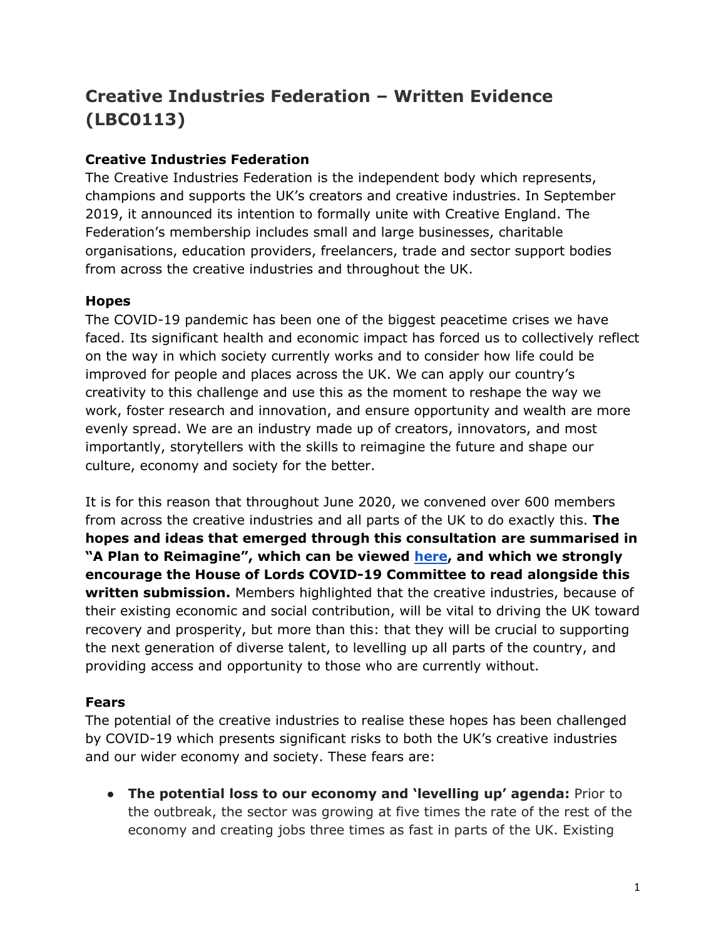# **Creative Industries Federation – Written Evidence (LBC0113)**

# **Creative Industries Federation**

The Creative Industries Federation is the independent body which represents, champions and supports the UK's creators and creative industries. In September 2019, it announced its intention to formally unite with Creative England. The Federation's membership includes small and large businesses, charitable organisations, education providers, freelancers, trade and sector support bodies from across the creative industries and throughout the UK.

# **Hopes**

The COVID-19 pandemic has been one of the biggest peacetime crises we have faced. Its significant health and economic impact has forced us to collectively reflect on the way in which society currently works and to consider how life could be improved for people and places across the UK. We can apply our country's creativity to this challenge and use this as the moment to reshape the way we work, foster research and innovation, and ensure opportunity and wealth are more evenly spread. We are an industry made up of creators, innovators, and most importantly, storytellers with the skills to reimagine the future and shape our culture, economy and society for the better.

It is for this reason that throughout June 2020, we convened over 600 members from across the creative industries and all parts of the UK to do exactly this. **The hopes and ideas that emerged through this consultation are summarised in "A Plan to Reimagine", which can be viewed [here,](https://www.creativeindustriesfederation.com/sites/default/files/inline-images/Creative%20Industries%20Federation%20-%20Creative%20Coalition-%20a%20plan%20to%20reimagine_0.pdf) and which we strongly encourage the House of Lords COVID-19 Committee to read alongside this written submission.** Members highlighted that the creative industries, because of their existing economic and social contribution, will be vital to driving the UK toward recovery and prosperity, but more than this: that they will be crucial to supporting the next generation of diverse talent, to levelling up all parts of the country, and providing access and opportunity to those who are currently without.

# **Fears**

The potential of the creative industries to realise these hopes has been challenged by COVID-19 which presents significant risks to both the UK's creative industries and our wider economy and society. These fears are:

● **The potential loss to our economy and 'levelling up' agenda:** Prior to the outbreak, the sector was growing at five times the rate of the rest of the economy and creating jobs three times as fast in parts of the UK. Existing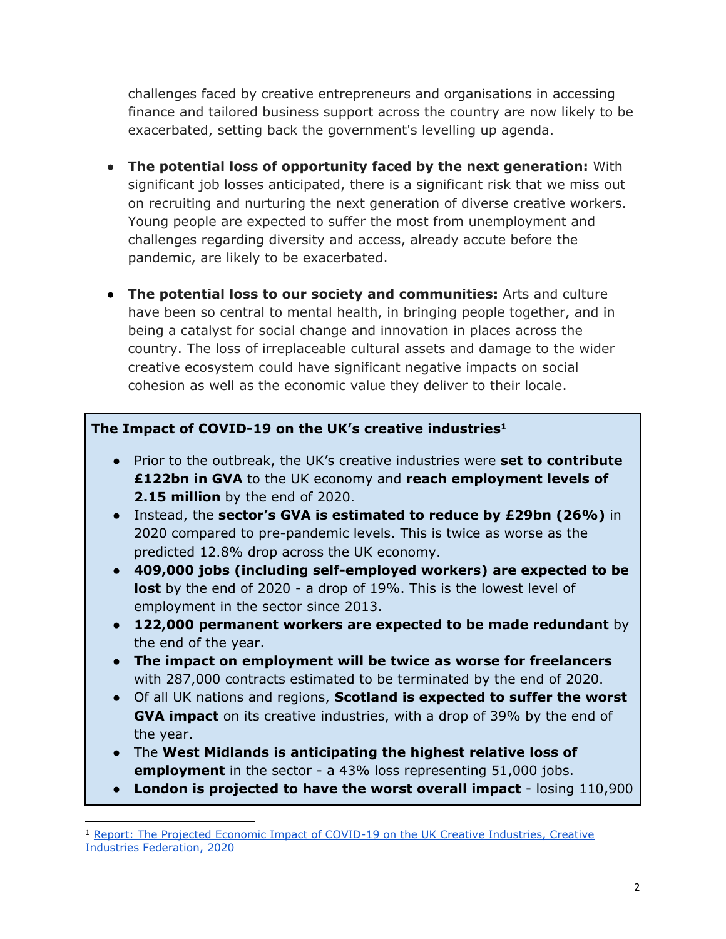challenges faced by creative entrepreneurs and organisations in accessing finance and tailored business support across the country are now likely to be exacerbated, setting back the government's levelling up agenda.

- **The potential loss of opportunity faced by the next generation:** With significant job losses anticipated, there is a significant risk that we miss out on recruiting and nurturing the next generation of diverse creative workers. Young people are expected to suffer the most from unemployment and challenges regarding diversity and access, already accute before the pandemic, are likely to be exacerbated.
- **The potential loss to our society and communities:** Arts and culture have been so central to mental health, in bringing people together, and in being a catalyst for social change and innovation in places across the country. The loss of irreplaceable cultural assets and damage to the wider creative ecosystem could have significant negative impacts on social cohesion as well as the economic value they deliver to their locale.

## **The Impact of COVID-19 on the UK's creative industries<sup>1</sup>**

- Prior to the outbreak, the UK's creative industries were **set to contribute £122bn in GVA** to the UK economy and **reach employment levels of 2.15 million** by the end of 2020.
- Instead, the **sector's GVA is estimated to reduce by £29bn (26%)** in 2020 compared to pre-pandemic levels. This is twice as worse as the predicted 12.8% drop across the UK economy.
- **409,000 jobs (including self-employed workers) are expected to be** lost by the end of 2020 - a drop of 19%. This is the lowest level of employment in the sector since 2013.
- **122,000 permanent workers are expected to be made redundant** by the end of the year.
- **The impact on employment will be twice as worse for freelancers** with 287,000 contracts estimated to be terminated by the end of 2020.
- Of all UK nations and regions, **Scotland is expected to suffer the worst GVA impact** on its creative industries, with a drop of 39% by the end of the year.
- The **West Midlands is anticipating the highest relative loss of employment** in the sector - a 43% loss representing 51,000 jobs.
- **London is projected to have the worst overall impact** losing 110,900

<sup>1</sup> [Report:](https://www.creativeindustriesfederation.com/publications/report-projected-economic-impact-covid-19-uk-creative-industries) [The](https://www.creativeindustriesfederation.com/publications/report-projected-economic-impact-covid-19-uk-creative-industries) [Projected](https://www.creativeindustriesfederation.com/publications/report-projected-economic-impact-covid-19-uk-creative-industries) [Economic](https://www.creativeindustriesfederation.com/publications/report-projected-economic-impact-covid-19-uk-creative-industries) [Impact](https://www.creativeindustriesfederation.com/publications/report-projected-economic-impact-covid-19-uk-creative-industries) [of](https://www.creativeindustriesfederation.com/publications/report-projected-economic-impact-covid-19-uk-creative-industries) [COVID-19](https://www.creativeindustriesfederation.com/publications/report-projected-economic-impact-covid-19-uk-creative-industries) [on](https://www.creativeindustriesfederation.com/publications/report-projected-economic-impact-covid-19-uk-creative-industries) [the](https://www.creativeindustriesfederation.com/publications/report-projected-economic-impact-covid-19-uk-creative-industries) [UK](https://www.creativeindustriesfederation.com/publications/report-projected-economic-impact-covid-19-uk-creative-industries) [Creative](https://www.creativeindustriesfederation.com/publications/report-projected-economic-impact-covid-19-uk-creative-industries) [Industries,](https://www.creativeindustriesfederation.com/publications/report-projected-economic-impact-covid-19-uk-creative-industries) [Creative](https://www.creativeindustriesfederation.com/publications/report-projected-economic-impact-covid-19-uk-creative-industries) [Industries](https://www.creativeindustriesfederation.com/publications/report-projected-economic-impact-covid-19-uk-creative-industries) [Federation,](https://www.creativeindustriesfederation.com/publications/report-projected-economic-impact-covid-19-uk-creative-industries) [2020](https://www.creativeindustriesfederation.com/publications/report-projected-economic-impact-covid-19-uk-creative-industries)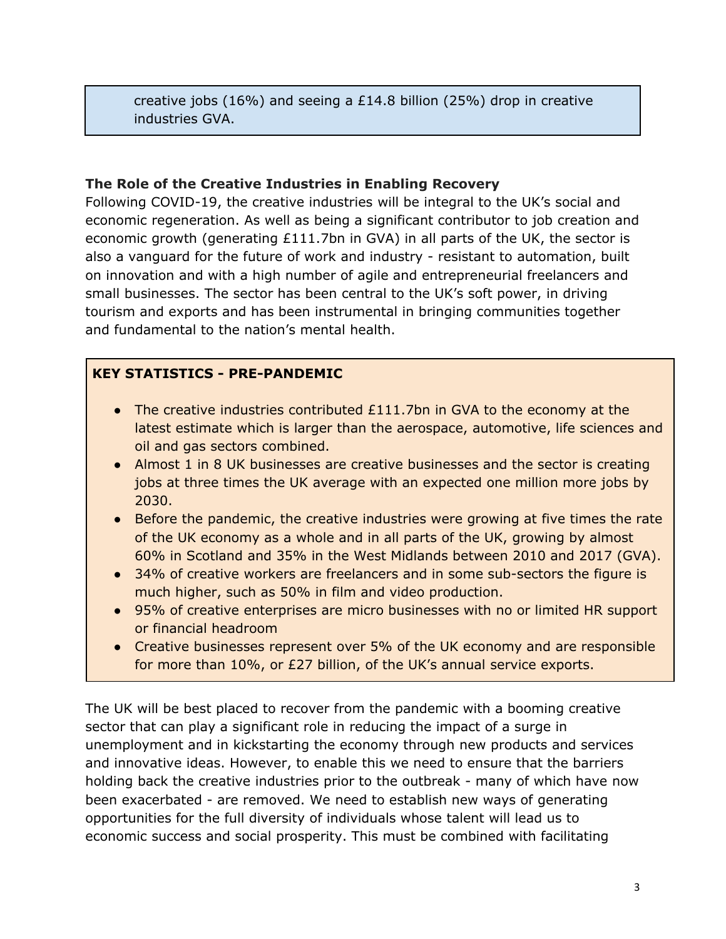creative jobs (16%) and seeing a £14.8 billion (25%) drop in creative industries GVA.

#### **The Role of the Creative Industries in Enabling Recovery**

Following COVID-19, the creative industries will be integral to the UK's social and economic regeneration. As well as being a significant contributor to job creation and economic growth (generating £111.7bn in GVA) in all parts of the UK, the sector is also a vanguard for the future of work and industry - resistant to automation, built on innovation and with a high number of agile and entrepreneurial freelancers and small businesses. The sector has been central to the UK's soft power, in driving tourism and exports and has been instrumental in bringing communities together and fundamental to the nation's mental health.

## **KEY STATISTICS - PRE-PANDEMIC**

- The creative industries contributed £111.7bn in GVA to the economy at the latest estimate which is larger than the aerospace, automotive, life sciences and oil and gas sectors combined.
- Almost 1 in 8 UK businesses are creative businesses and the sector is creating jobs at three times the UK average with an expected one million more jobs by 2030.
- Before the pandemic, the creative industries were growing at five times the rate of the UK economy as a whole and in all parts of the UK, growing by almost 60% in Scotland and 35% in the West Midlands between 2010 and 2017 (GVA).
- 34% of creative workers are freelancers and in some sub-sectors the figure is much higher, such as 50% in film and video production.
- 95% of creative enterprises are micro businesses with no or limited HR support or financial headroom
- Creative businesses represent over 5% of the UK economy and are responsible for more than 10%, or £27 billion, of the UK's annual service exports.

The UK will be best placed to recover from the pandemic with a booming creative sector that can play a significant role in reducing the impact of a surge in unemployment and in kickstarting the economy through new products and services and innovative ideas. However, to enable this we need to ensure that the barriers holding back the creative industries prior to the outbreak - many of which have now been exacerbated - are removed. We need to establish new ways of generating opportunities for the full diversity of individuals whose talent will lead us to economic success and social prosperity. This must be combined with facilitating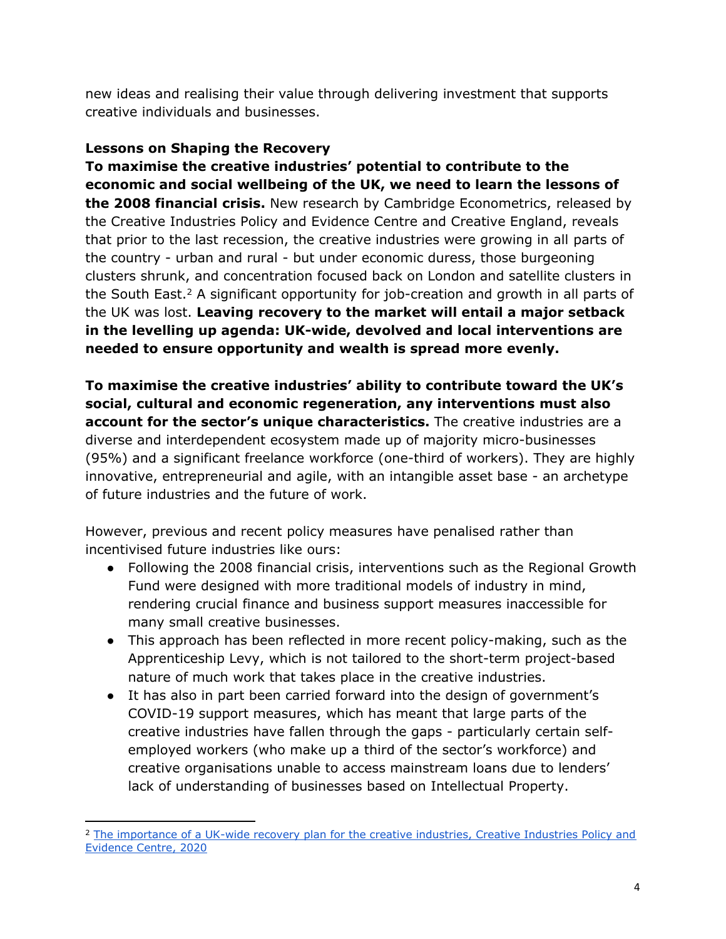new ideas and realising their value through delivering investment that supports creative individuals and businesses.

#### **Lessons on Shaping the Recovery**

**To maximise the creative industries' potential to contribute to the economic and social wellbeing of the UK, we need to learn the lessons of the 2008 financial crisis.** New research by Cambridge Econometrics, released by the Creative Industries Policy and Evidence Centre and Creative England, reveals that prior to the last recession, the creative industries were growing in all parts of the country - urban and rural - but under economic duress, those burgeoning clusters shrunk, and concentration focused back on London and satellite clusters in the South East.<sup>2</sup> A significant opportunity for job-creation and growth in all parts of the UK was lost. **Leaving recovery to the market will entail a major setback in the levelling up agenda: UK-wide, devolved and local interventions are needed to ensure opportunity and wealth is spread more evenly.**

**To maximise the creative industries' ability to contribute toward the UK's social, cultural and economic regeneration, any interventions must also account for the sector's unique characteristics.** The creative industries are a diverse and interdependent ecosystem made up of majority micro-businesses (95%) and a significant freelance workforce (one-third of workers). They are highly innovative, entrepreneurial and agile, with an intangible asset base - an archetype of future industries and the future of work.

However, previous and recent policy measures have penalised rather than incentivised future industries like ours:

- Following the 2008 financial crisis, interventions such as the Regional Growth Fund were designed with more traditional models of industry in mind, rendering crucial finance and business support measures inaccessible for many small creative businesses.
- This approach has been reflected in more recent policy-making, such as the Apprenticeship Levy, which is not tailored to the short-term project-based nature of much work that takes place in the creative industries.
- It has also in part been carried forward into the design of government's COVID-19 support measures, which has meant that large parts of the creative industries have fallen through the gaps - particularly certain selfemployed workers (who make up a third of the sector's workforce) and creative organisations unable to access mainstream loans due to lenders' lack of understanding of businesses based on Intellectual Property.

<sup>&</sup>lt;sup>2</sup> [The](https://pec.ac.uk/policy-briefings/the-importance-of-a-uk-wide-recovery-plan-for-the-creative-industries) [importance](https://pec.ac.uk/policy-briefings/the-importance-of-a-uk-wide-recovery-plan-for-the-creative-industries) [of](https://pec.ac.uk/policy-briefings/the-importance-of-a-uk-wide-recovery-plan-for-the-creative-industries) [a](https://pec.ac.uk/policy-briefings/the-importance-of-a-uk-wide-recovery-plan-for-the-creative-industries) [UK-wide](https://pec.ac.uk/policy-briefings/the-importance-of-a-uk-wide-recovery-plan-for-the-creative-industries) [recovery](https://pec.ac.uk/policy-briefings/the-importance-of-a-uk-wide-recovery-plan-for-the-creative-industries) [plan](https://pec.ac.uk/policy-briefings/the-importance-of-a-uk-wide-recovery-plan-for-the-creative-industries) [for](https://pec.ac.uk/policy-briefings/the-importance-of-a-uk-wide-recovery-plan-for-the-creative-industries) [the](https://pec.ac.uk/policy-briefings/the-importance-of-a-uk-wide-recovery-plan-for-the-creative-industries) [creative](https://pec.ac.uk/policy-briefings/the-importance-of-a-uk-wide-recovery-plan-for-the-creative-industries) [industries,](https://pec.ac.uk/policy-briefings/the-importance-of-a-uk-wide-recovery-plan-for-the-creative-industries) [Creative](https://pec.ac.uk/policy-briefings/the-importance-of-a-uk-wide-recovery-plan-for-the-creative-industries) [Industries](https://pec.ac.uk/policy-briefings/the-importance-of-a-uk-wide-recovery-plan-for-the-creative-industries) [Policy](https://pec.ac.uk/policy-briefings/the-importance-of-a-uk-wide-recovery-plan-for-the-creative-industries) [and](https://pec.ac.uk/policy-briefings/the-importance-of-a-uk-wide-recovery-plan-for-the-creative-industries) [Evidence](https://pec.ac.uk/policy-briefings/the-importance-of-a-uk-wide-recovery-plan-for-the-creative-industries) [Centre,](https://pec.ac.uk/policy-briefings/the-importance-of-a-uk-wide-recovery-plan-for-the-creative-industries) [2020](https://pec.ac.uk/policy-briefings/the-importance-of-a-uk-wide-recovery-plan-for-the-creative-industries)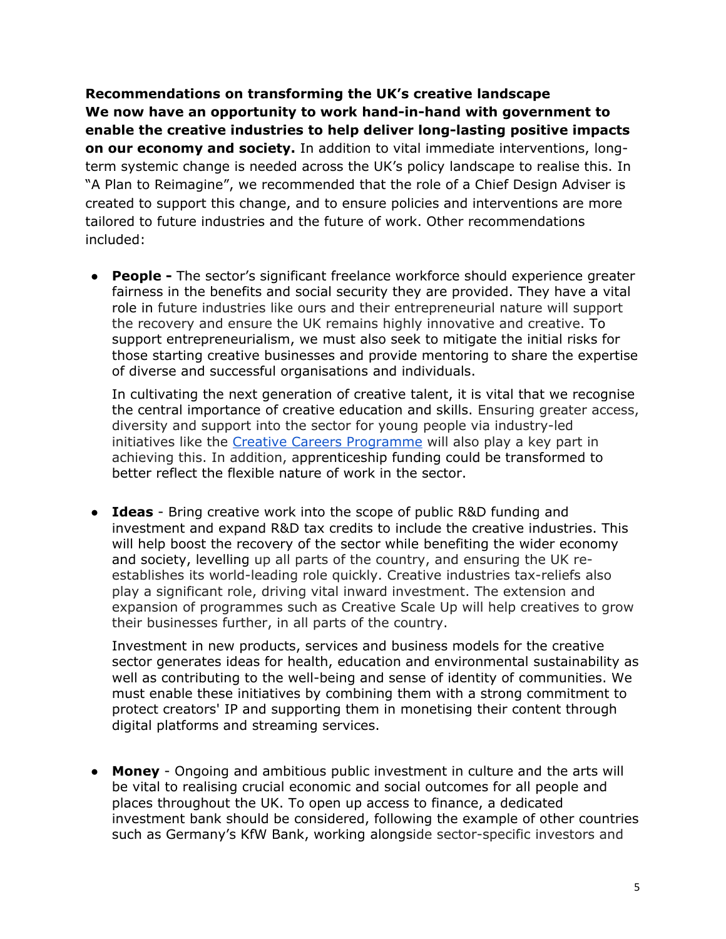**Recommendations on transforming the UK's creative landscape We now have an opportunity to work hand-in-hand with government to enable the creative industries to help deliver long-lasting positive impacts on our economy and society.** In addition to vital immediate interventions, longterm systemic change is needed across the UK's policy landscape to realise this. In "A Plan to Reimagine", we recommended that the role of a Chief Design Adviser is created to support this change, and to ensure policies and interventions are more tailored to future industries and the future of work. Other recommendations included:

● **People -** The sector's significant freelance workforce should experience greater fairness in the benefits and social security they are provided. They have a vital role in future industries like ours and their entrepreneurial nature will support the recovery and ensure the UK remains highly innovative and creative. To support entrepreneurialism, we must also seek to mitigate the initial risks for those starting creative businesses and provide mentoring to share the expertise of diverse and successful organisations and individuals.

In cultivating the next generation of creative talent, it is vital that we recognise the central importance of creative education and skills. Ensuring greater access, diversity and support into the sector for young people via industry-led initiatives like the [Creative](https://discovercreative.careers/about/about-the-creative-careers-programme/) [Careers](https://discovercreative.careers/about/about-the-creative-careers-programme/) [Programme](https://discovercreative.careers/about/about-the-creative-careers-programme/) will also play a key part in achieving this. In addition, apprenticeship funding could be transformed to better reflect the flexible nature of work in the sector.

● **Ideas** - Bring creative work into the scope of public R&D funding and investment and expand R&D tax credits to include the creative industries. This will help boost the recovery of the sector while benefiting the wider economy and society, levelling up all parts of the country, and ensuring the UK reestablishes its world-leading role quickly. Creative industries tax-reliefs also play a significant role, driving vital inward investment. The extension and expansion of programmes such as Creative Scale Up will help creatives to grow their businesses further, in all parts of the country.

Investment in new products, services and business models for the creative sector generates ideas for health, education and environmental sustainability as well as contributing to the well-being and sense of identity of communities. We must enable these initiatives by combining them with a strong commitment to protect creators' IP and supporting them in monetising their content through digital platforms and streaming services.

● **Money** - Ongoing and ambitious public investment in culture and the arts will be vital to realising crucial economic and social outcomes for all people and places throughout the UK. To open up access to finance, a dedicated investment bank should be considered, following the example of other countries such as Germany's KfW Bank, working alongside sector-specific investors and